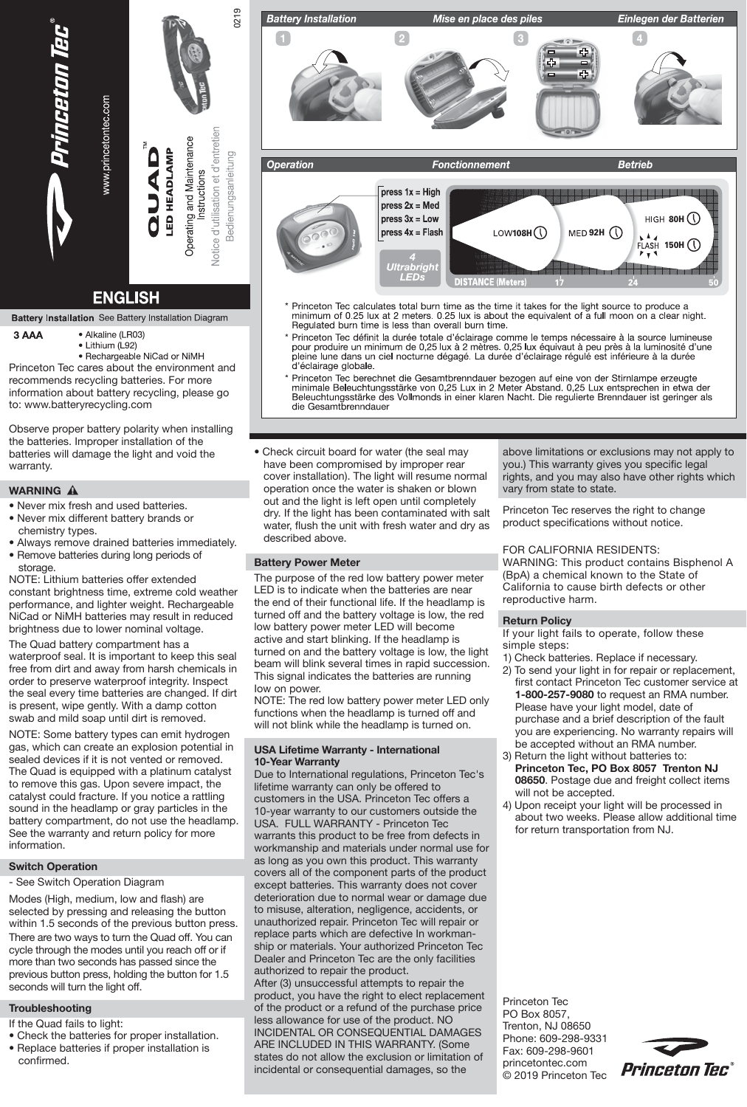

# **ENGLISH**

**Battery Installation** See Battery Installation Diagram

- 3 AAA · Alkaline (LR03)
	- · Lithium (L92)
		- Rechargeable NiCad or NiMH

Princeton Tec cares about the environment and recommends recycling batteries. For more information about battery recycling, please go to: www.batteryrecycling.com

Observe proper battery polarity when installing the batteries. Improper installation of the batteries will damage the light and void the warranty.

# **WARNING A**

- Never mix fresh and used batteries.
- Never mix different battery brands or
- chemistry types. • Always remove drained batteries immediately.
- Remove batteries during long periods of storage.

NOTE: Lithium batteries offer extended constant brightness time, extreme cold weather performance, and lighter weight. Rechargeable NiCad or NiMH batteries may result in reduced brightness due to lower nominal voltage.

The Quad battery compartment has a waterproof seal. It is important to keep this seal free from dirt and away from harsh chemicals in order to preserve waterproof integrity. Inspect the seal every time batteries are changed. If dirt is present, wipe gently. With a damp cotton swab and mild soap until dirt is removed.

NOTE: Some battery types can emit hydrogen gas, which can create an explosion potential in sealed devices if it is not vented or removed. The Quad is equipped with a platinum catalyst to remove this gas. Upon severe impact, the catalyst could fracture. If you notice a rattling sound in the headlamp or gray particles in the battery compartment, do not use the headlamp. See the warranty and return policy for more information.

# **Switch Operation**

- See Switch Operation Diagram

Modes (High, medium, low and flash) are selected by pressing and releasing the button within 1.5 seconds of the previous button press. There are two ways to turn the Quad off. You can cycle through the modes until you reach off or if more than two seconds has passed since the previous button press, holding the button for 1.5 seconds will turn the light off.

# **Troubleshooting**

- If the Quad fails to light:
- Check the batteries for proper installation.
- Replace batteries if proper installation is confirmed.



- Princeton Tec calculates total burn time as the time it takes for the light source to produce a<br>minimum of 0.25 lux at 2 meters. 0.25 lux is about the equivalent of a full moon on a clear night.<br>Regulated burn time is less
- Princeton Tec définit la durée totale d'éclairage comme le temps nécessaire à la source lumineuse<br>pour produire un minimum de 0,25 lux à 2 mètres. 0,25 lux équivaut à peu près à la luminosité d'une pour produire un minimum de 0,25 lux à 2 mètres. 0,25 lux équivaut à peu près à la luminosité d'<br>pleine lune dans un ciel nocturne dégagé. La durée d'éclairage régulé est inférieure à la durée<br>d'éclairage globale.
- Princeton Tec berechnet die Gesamtbrenndauer bezogen auf eine von der Stirnlampe erzeugte<br>minimale Beleuchtungsstärke von 0,25 Lux in 2 Meter Abstand. 0,25 Lux entsprechen in etwa der Beleuchtungsstärke des Vollmonds in einer klaren Nacht. Die regulierte Brenndauer ist geringer als<br>die Gesamtbrenndauer
- Check circuit board for water (the seal may have been compromised by improper rear cover installation). The light will resume normal operation once the water is shaken or blown out and the light is left open until completely dry. If the light has been contaminated with salt water. flush the unit with fresh water and dry as described above.

# **Battery Power Meter**

The purpose of the red low battery power meter LED is to indicate when the batteries are near the end of their functional life. If the headlamp is turned off and the battery voltage is low, the red low battery power meter LED will become active and start blinking. If the headlamp is turned on and the battery voltage is low, the light beam will blink several times in rapid succession. This signal indicates the batteries are running Iow on power.

NOTE: The red low battery power meter LED only functions when the headlamp is turned off and will not blink while the headlamp is turned on.

### **USA Lifetime Warranty - International 10-Year Warranty**

Due to International regulations, Princeton Tec's lifetime warranty can only be offered to customers in the USA. Princeton Tec offers a 10-year warranty to our customers outside the USA. FULL WARRANTY - Princeton Tec warrants this product to be free from defects in workmanship and materials under normal use for as long as you own this product. This warranty covers all of the component parts of the product except batteries. This warranty does not cover deterioration due to normal wear or damage due to misuse, alteration, negligence, accidents, or unauthorized repair. Princeton Tec will repair or replace parts which are defective In workmanship or materials. Your authorized Princeton Tec Dealer and Princeton Tec are the only facilities authorized to repair the product.

After (3) unsuccessful attempts to repair the product, you have the right to elect replacement of the product or a refund of the purchase price less allowance for use of the product. NO INCIDENTAL OR CONSEQUENTIAL DAMAGES ARE INCLUDED IN THIS WARRANTY. (Some states do not allow the exclusion or limitation of incidental or consequential damages, so the

above limitations or exclusions may not apply to you.) This warranty gives you specific legal rights, and you may also have other rights which vary from state to state.

Princeton Tec reserves the right to change product specifications without notice.

# FOR CALIFORNIA RESIDENTS:

WARNING: This product contains Bisphenol A (BpA) a chemical known to the State of California to cause birth defects or other reproductive harm.

# **Return Policy**

If your light fails to operate, follow these simple steps:

- 1) Check batteries. Replace if necessary.
- 2) To send your light in for repair or replacement, first contact Princeton Tec customer service at  **1-800-257-9080** to request an RMA number. Please have your light model, date of purchase and a brief description of the fault you are experiencing. No warranty repairs will be accepted without an RMA number.
- 3) Return the light without batteries to: **Princeton Tec, PO Box 8057 Trenton NJ 08650**. Postage due and freight collect items will not be accepted.
- 4) Upon receipt your light will be processed in about two weeks. Please allow additional time for return transportation from NJ.

Princeton Tec PO Box 8057, Trenton, NJ 08650 Phone: 609-298-9331 Fax: 609-298-9601 princetontec.com © 2019 Princeton Tec